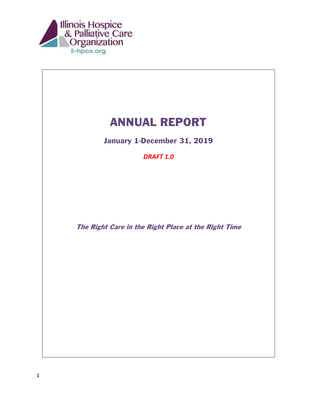

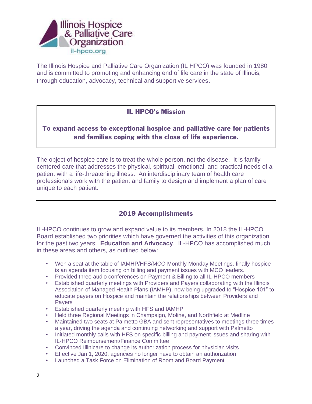

The Illinois Hospice and Palliative Care Organization (IL HPCO) was founded in 1980 and is committed to promoting and enhancing end of life care in the state of Illinois, through education, advocacy, technical and supportive services.

## IL HPCO's Mission

# To expand access to exceptional hospice and palliative care for patients and families coping with the close of life experience.

The object of hospice care is to treat the whole person, not the disease. It is familycentered care that addresses the physical, spiritual, emotional, and practical needs of a patient with a life-threatening illness. An interdisciplinary team of health care professionals work with the patient and family to design and implement a plan of care unique to each patient.

## 2019 Accomplishments

IL-HPCO continues to grow and expand value to its members. In 2018 the IL-HPCO Board established two priorities which have governed the activities of this organization for the past two years: **Education and Advocacy**. IL-HPCO has accomplished much in these areas and others, as outlined below:

- Won a seat at the table of IAMHP/HFS/MCO Monthly Monday Meetings, finally hospice is an agenda item focusing on billing and payment issues with MCO leaders.
- Provided three audio conferences on Payment & Billing to all IL-HPCO members
- Established quarterly meetings with Providers and Payers collaborating with the Illinois Association of Managed Health Plans (IAMHP), now being upgraded to "Hospice 101" to educate payers on Hospice and maintain the relationships between Providers and **Payers**
- Established quarterly meeting with HFS and IAMHP
- Held three Regional Meetings in Champaign, Moline, and Northfield at Medline
- Maintained two seats at Palmetto GBA and sent representatives to meetings three times a year, driving the agenda and continuing networking and support with Palmetto
- Initiated monthly calls with HFS on specific billing and payment issues and sharing with IL-HPCO Reimbursement/Finance Committee
- Convinced Illinicare to change its authorization process for physician visits
- Effective Jan 1, 2020, agencies no longer have to obtain an authorization
- Launched a Task Force on Elimination of Room and Board Payment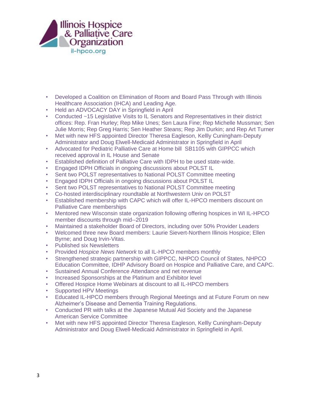

- Developed a Coalition on Elimination of Room and Board Pass Through with Illinois Healthcare Association (IHCA) and Leading Age.
- Held an ADVOCACY DAY in Springfield in April
- Conducted ~15 Legislative Visits to IL Senators and Representatives in their district offices: Rep. Fran Hurley; Rep Mike Unes; Sen Laura Fine; Rep Michelle Mussman; Sen Julie Morris; Rep Greg Harris; Sen Heather Steans; Rep Jim Durkin; and Rep Art Turner
- Met with new HFS appointed Director Theresa Eagleson, Kellly Cuningham-Deputy Administrator and Doug Elwell-Medicaid Administrator in Springfield in April
- Advocated for Pediatric Palliative Care at Home bill SB1105 with GIPPCC which received approval in IL House and Senate
- Established definition of Palliative Care with IDPH to be used state-wide.
- Engaged IDPH Officials in ongoing discussions about POLST IL
- Sent two POLST representatives to National POLST Committee meeting
- Engaged IDPH Officials in ongoing discussions about POLST IL
- Sent two POLST representatives to National POLST Committee meeting
- Co-hosted interdisciplinary roundtable at Northwestern Univ on POLST
- Established membership with CAPC which will offer IL-HPCO members discount on Palliative Care memberships
- Mentored new Wisconsin state organization following offering hospices in WI IL-HPCO member discounts through mid--2019
- Maintained a stakeholder Board of Directors, including over 50% Provider Leaders
- Welcomed three new Board members: Laurie Sievert-Northern Illinois Hospice; Ellen Byrne; and Doug Irvin-Vitas.
- Published six Newsletters
- Provided *Hospice News Network* to all IL-HPCO members monthly
- Strengthened strategic partnership with GIPPCC, NHPCO Council of States, NHPCO Education Committee, IDHP Advisory Board on Hospice and Palliative Care, and CAPC.
- Sustained Annual Conference Attendance and net revenue
- Increased Sponsorships at the Platinum and Exhibitor level
- Offered Hospice Home Webinars at discount to all IL-HPCO members
- Supported HPV Meetings
- Educated IL-HPCO members through Regional Meetings and at Future Forum on new Alzheimer's Disease and Dementia Training Regulations.
- Conducted PR with talks at the Japanese Mutual Aid Society and the Japanese American Service Committee
- Met with new HFS appointed Director Theresa Eagleson, Kellly Cuningham-Deputy Administrator and Doug Elwell-Medicaid Administrator in Springfield in April.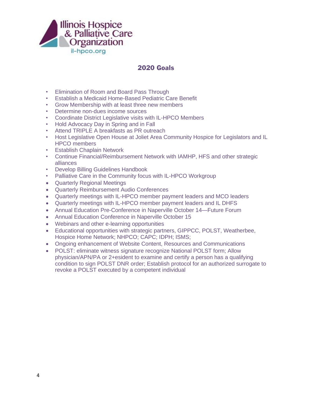

#### 2020 Goals

- Elimination of Room and Board Pass Through
- Establish a Medicaid Home-Based Pediatric Care Benefit
- Grow Membership with at least three new members
- Determine non-dues income sources
- Coordinate District Legislative visits with IL-HPCO Members
- Hold Advocacy Day in Spring and in Fall
- Attend TRIPLE A breakfasts as PR outreach
- Host Legislative Open House at Joliet Area Community Hospice for Legislators and IL HPCO members
- Establish Chaplain Network
- Continue Financial/Reimbursement Network with IAMHP, HFS and other strategic alliances
- Develop Billing Guidelines Handbook
- Palliative Care in the Community focus with IL-HPCO Workgroup
- Quarterly Regional Meetings
- Quarterly Reimbursement Audio Conferences
- Quarterly meetings with IL-HPCO member payment leaders and MCO leaders
- Quarterly meetings with IL-HPCO member payment leaders and IL DHFS
- Annual Education Pre-Conference in Naperville October 14—Future Forum
- Annual Education Conference in Naperville October 15
- Webinars and other e-learning opportunities
- Educational opportunities with strategic partners, GIPPCC, POLST, Weatherbee, Hospice Home Network; NHPCO; CAPC; IDPH; ISMS;
- Ongoing enhancement of Website Content, Resources and Communications
- POLST: eliminate witness signature recognize National POLST form; Allow physician/APN/PA or 2+esident to examine and certify a person has a qualifying condition to sign POLST DNR order; Establish protocol for an authorized surrogate to revoke a POLST executed by a competent individual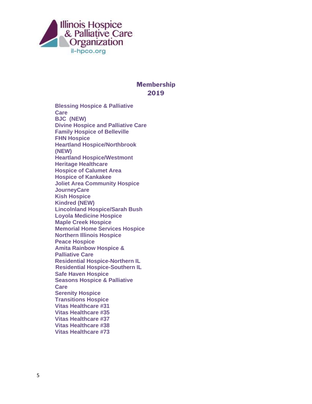

#### **Membership** 2019

**Blessing Hospice & Palliative Care BJC (NEW) Divine Hospice and Palliative Care Family Hospice of Belleville FHN Hospice Heartland Hospice/Northbrook (NEW) Heartland Hospice/Westmont Heritage Healthcare Hospice of Calumet Area Hospice of Kankakee Joliet Area Community Hospice JourneyCare Kish Hospice Kindred (NEW) Lincolnland Hospice/Sarah Bush Loyola Medicine Hospice Maple Creek Hospice Memorial Home Services Hospice Northern Illinois Hospice Peace Hospice Amita Rainbow Hospice & Palliative Care Residential Hospice-Northern IL Residential Hospice-Southern IL Safe Haven Hospice Seasons Hospice & Palliative Care Serenity Hospice Transitions Hospice Vitas Healthcare #31 Vitas Healthcare #35 Vitas Healthcare #37 Vitas Healthcare #38 Vitas Healthcare #73**